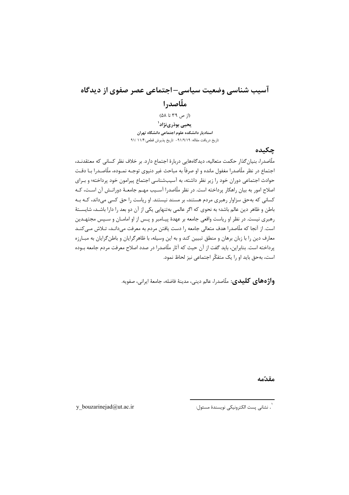# آسیب شناسی وضعیت سیاسی–اجتماعی عصر صفوی از دیدگاه ملّاصدرا

 $(l; 0, 0, 0)$  (1; ص ۳۹ تا ۵۸) یحیی بوذرینژاد<sup>۱</sup> استادیار دانشکده علوم اجتماعی دانشگاه تهران تاريخ دريافت مقاله: ٩١/٩/١٩- تاريخ پذيرش قطعي:١١/ /٩١

#### جكىدە

ملّاصدرا، بنیان گذار حکمت متعالیه، دیدگاههایی دربارهٔ اجتماع دارد. بر خلاف نظر کسانی که معتقدنـد، اجتماع در نظر ملّاصدرا مغفول مانده و او صرفاً به مباحث غیر دنیوی توجـه نمـوده، ملّاصـدرا بــا دقـت حوادث اجتماعی دوران خود را زیر نظر داشته، به آسیبشناسی اجتماع پیرامون خود پرداخته؛ و بـرای اصلاح امور به بیان راهکار پرداخته است. در نظر ملّاصدرا آسـیب مهـم جامعـهٔ دورانـش آن اسـت، کـه کسانی که بهحق سزاوار رهبری مردم هستند، بر مسند نیستند. او ریاست را حق کسی می داند، کـه بـه باطن و ظاهر دین عالم باشد؛ به نحوی که اگر عالمی بهتنهایی یکی از آن دو بعد را دارا باشـد، شایسـتهٔ رهبری نیست. در نظر او ریاست واقعی جامعه بر عهدهٔ پیـامبر و پـس از او امامــان و سـپس مجتهـدین است. از آنجا که ملّاصدرا هدف متعالی جامعه را دست یافتن مردم به معرفت می دانـد، تـلاش مـی کنــد معارف دین را با زبان برهان و منطق تبیین کند و به این وسیله، با ظاهرگرایان و باطنگرایان به مبـارزه يرداخته است. بنابراين، بايد گفت از آن حيث كه آثار ملّاصدرا در صدد اصلاح معرفت مردم جامعه بـوده است، بهحق باید او را یک متفکّر اجتماعی نیز لحاظ نمود.

**واژههای کلیدی**: ملّاصدرا، عالم دینی، مدینهٔ فاضله، جامعهٔ ایرانی، صفویه.

مقدّمه

`. نشان<sub>ى</sub> پست الكترونيكى نويسندهٔ مسئول:

y\_bouzarinejad@ut.ac.ir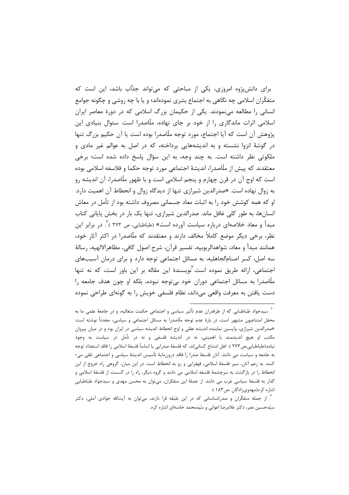برای دانشپژوه امروزی، یکی از مباحثی که می تواند جذاب باشد، این است که متفکّران اسلامی چه نگاهی به اجتماع بشری نمودهاند؛ و یا با چه روشی و چگونه جوامع انسانی را مطالعه مینمودند. یکی از حکیمان بزرگ اسلامی که در دورهٔ معاصر ایران اسلامی اثرات ماندگاری را از خود بر جای نهاده، ملّاصدرا است. سئوال بنیادی این پژوهش آن است که آیا اجتماع، مورد توجه ملّاصدرا بوده است یا آن حکیم بزرگ تنها در گوشهٔ انزوا نشسته و به اندیشههایی پرداخته، که در اصل به عوالم غیر مادی و ملکوتی نظر داشته است. به چند وجه، به این سؤال پاسخ داده شده است؛ برخی معتقدند كه پيش از ملّاصدرا، انديشهٔ اجتماعي مورد توجه حكما و فلاسفه اسلامي بوده است که اوج آن در قرن چهارم و پنجم اسلامی است و با ظهور ملّاصدرا، آن اندیشه رو به زوال نهاده است. «صدرالدین شیرازی تنها از دیدگاه زوال و انحطاط آن اهمیت دارد. او که همه کوشش خود را به اثبات معاد جسمانی مصروف داشته بود از تأمل در معاش انسانها، به طور کلی غافل ماند. صدرالدین شیرازی، تنها یک بار در بخش پایانی کتاب مبدأ و معاد خلاصهای درباره سیاست آورده است» (طباطبایی، ص ۲۷۲ )<sup>۲</sup>. در برابر این نظر، برخی دیگر موضع کاملاً مخالف دارند و معتقدند که ملّاصدرا در اکثر آثار خود، همانند مبدأ و معاد، شواهدالربوبيه، تفسير قرآن، شرح اصول كافي، مظاهرالالهيه، رسالهٔ سه اصل، کسر اصنامالجاهلیه، به مسائل اجتماعی توجه دارد و برای درمان آسیبهای اجتماعی، ارائه طریق نموده است.<sup>۲</sup>نویسندهٔ این مقاله بر این باور است، که نه تنها ملَّاصدرا به مسائل اجتماعی دوران خود بی توجه نبوده، بلکه او چون هدف جامعه را دست یافتن به معرفت واقعی مے داند، نظام فلسفی خویش را به گونهای طراحی نموده

<sup>&</sup>lt;sup>٢</sup>. سيدجواد طباطبايي كه از طرفدران عدم تأثير سياسي و اجتماعي حكمت متعاليه، و در جامعهٔ علمي ما به محفل امتناعیون مشهور است، در بارهٔ عدم توجه ملّاصدرا به مسائل اجتماعی و سیاسی، مجدداً نوشته است: «صدرالدین شیرازی، واپسین نماینده اندیشه عقلی و اوج انحطاط اندیشه سیاسی در ایران بود و در میان پیروان مکتب او هیچ اندیشمند با اهمیتی، نه در اندیشه فلسفی و نه در تأمل در سیاست به وجود نیامد(طباطبایی،ص ۲۷۲ ). اهل امتناع کسانی|ند، که فلسفهٔ صدرایی یا اساساً فلسفهٔ اسلامی را فاقد استعداد توجه به جامعه و سياست مي دانند. آنان فلسفهٔ صدرا را فاقد درونمايهٔ تأسيس انديشهٔ سياسي و اجتماعي تلقي مي-كنند. به زعم آنان، سير فلسفة اسلامي، قهقرايي و رو به انحطاط است. در اين ميان، گروهي راه خروج از اين انحطاط را در بازگشت به سرچشمهٔ فلسفه اسلامی می دانند و گروه دیگر، راه را در گسست از فلسفهٔ اسلامی و گذار به فلسفهٔ سیاسی غرب می دانند. از جملهٔ این متفکران، میتوان به محسن مهدی و سیدجواد طباطبایی اشاره کرد(مهدوی; ادگان ،ص ۱۸۳).

<sup>&</sup>lt;sup>۳</sup>. از جمله متفکّران و صدراشناسانی که در این طبقه قرا دارند، میتوان به آیتالله جوادی آملی، دکتر سیّدحسین نصر، دکتر غلامرضا اعوانی و سّیدمحمد خامنهای اشاره کرد.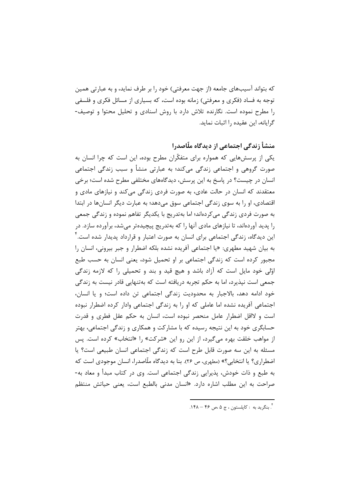که بتواند آسیبهای جامعه (از جهت معرفتی) خود را بر طرف نماید، و به عبارتی همین توجه به فساد (فکری و معرفتی) زمانه بوده است، که بسیاری از مسائل فکری و فلسفی را مطرح نموده است. نگارنده تلاش دارد با روش اسنادی و تحلیل محتوا و توصیف-گرایانه، این عقیده را اثبات نماید.

منشأ زندگی اجتماعی از دیدگاه ملّاصدرا

یکی از پرسشهایی که همواره برای متفکّران مطرح بوده، این است که چرا انسان به صورت گروهی و اجتماعی زندگی میکند؛ به عبارتی منشأ و سبب زندگی اجتماعی انسان در چیست؟ در پاسخ به این پرسش، دیدگاههای مختلفی مطرح شده است؛ برخی معتقدند که انسان در حالت عادی، به صورت فردی زندگی می کند و نیازهای مادی و اقتصادی، او را به سوی زندگی اجتماعی سوق میدهد؛ به عبارت دیگر انسانها در ابتدا به صورت فردی زندگی میکردهاند؛ اما بهتدریج با یکدیگر تفاهم نموده و زندگی جمعی را پدید آوردهاند، تا نیازهای مادی آنها را که بهتدریج پیچیدهتر میشد، برآورده سازد. در این دیدگاه، زندگی اجتماعی برای انسان به صورت اعتبار و قرارداد پدیدار شده است.<sup>۲</sup> به بيان شهيد مطهري: «يا اجتماعي آفريده نشده بلكه اضطرار و جبر بيروني، انسان را مجبور کرده است که زندگی اجتماعی بر او تحمیل شود، یعنی انسان به حسب طبع اوَّلِّي خود مايل است كه آزاد باشد و هيچ قيد و بند و تحميلي را كه لازمه زندگي جمعی است نیذیرد، اما به حکم تجربه دریافته است که بهتنهایی قادر نیست به زندگی خود ادامه دهد، بالاجبار به محدودیت زندگی اجتماعی تن داده است؛ و یا انسان، اجتماعی آفریده نشده اما عاملی که او را به زندگی اجتماعی وادار کرده اضطرار نبوده است و لااقل اضطرار عامل منحصر نبوده است، انسان به حکم عقل فطری و قدرت حسابگری خود به این نتیجه رسیده که با مشارکت و همکاری و زندگی اجتماعی، بهتر از مواهب خلقت بهره می گیرد، از این رو این «شرکت» را «انتخاب» کرده است. پس مسئله به این سه صورت قابل طرح است که زندگی اجتماعی انسان طبیعی است؟ یا اضطراري؟ يا انتخابي؟» (مطهري، ص ٢۶). بنا به ديدگاه ملّاصدرا، انسان موجودي است كه به طبع و ذات خودش، پذیرایی زندگی اجتماعی است. وی در کتاب مبدأ و معاد به-صراحت به این مطلب اشاره دارد. «انسان مدنی بالطبع است، یعنی حیاتش منتظم

<sup>&</sup>lt;sup>۴</sup>. بنگريد به : کاپلستون ، ج ۵ ،ص ۴۶ – ۱۴۸.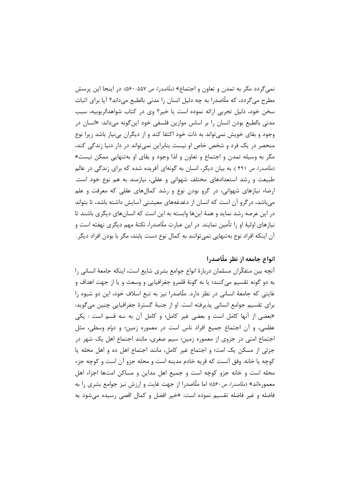نمي گردد مگر به تمدن و تعاون و اجتماع» (ملّاصدرا، ص ۵۵۷-۵۶۰). در اينجا اين پرسش مطرح میگردد، که ملّاصدرا به چه دلیل انسان را مدنی بالطبع میداند؟ آیا برای اثبات سخن خود، دلیل تجربی ارائه نموده است یا خیر؟ وی در کتاب شواهدالربوبیه، سبب مدنی بالطبع بودن انسان را بر اساس موازین فلسفی خود این *گ*ونه میداند: «انسان در وجود و بقای خویش نمیتواند به ذات خود اکتفا کند و از دیگران بینیاز باشد زیرا نوع منحصر در یک فرد و شخص خاص او نیست بنابراین نمی تواند در دار دنیا زندگی کند، مگر به وسیله تمدن و اجتماع و تعاون و لذا وجود و بقای او بهتنهایی ممکن نیست» (ملّاصدرا، ص ۴۹۱ ). به بیان دیگر، انسان به گونهای آفریده شده که برای زندگی در عالم طبیعت و رشد استعدادهای مختلف شهوانی و عقلی، نیازمند به هم نوع خود است. ارضاء نیازهای شهوانی، در گرو بودن نوع و رشد کمالهای عقلی که معرفت و علم می باشد، در گرو آن است که انسان از دغدغههای معیشتی آسایش داشته باشد، تا بتواند در این عرصه رشد نماید و همهٔ اینها وابسته به این است که انسانهای دیگری باشند تا نیازهای اولیهٔ او را تأمین نمایند. در این عبارت ملّاصدرا، نکتهٔ مهم دیگری نهفته است و آن اینکه افراد نوع بهتنهایی نمی توانند به کمال نوع دست یابند، مگر با بودن افراد دیگر.

## انواع جامعه از نظر ملّاصدرا

آنچه بین متفکّران مسلمان دربارهٔ انواع جوامع بشری شایع است، اینکه جامعهٔ انسانی را به دو گونه تقسیم می کنند؛ یا به گونهٔ قلمرو جغرافیایی و وسعت و یا از جهت اهداف و غایتی که جامعهٔ انسانی در نظر دارد. ملّاصدرا نیز به تبع اسلاف خود، این دو شیوه را براي تقسيم جوامع انساني پذيرفته است. او از جنبهٔ گسترهٔ جغرافيايي چنين ميگويد: «بعضی از آنها کامل است و بعضی غیر کامل؛ و کامل آن به سه قسم است : یکی عظمی، و آن اجتماع جمیع افراد ناس است در معموره زمین؛ و دوّم وسطی، مثل اجتماع امتی در جزوی از معموره زمین؛ سیم صغری، مانند اجتماع اهل یک شهر در جزئی از مسکن یک امت؛ و اجتماع غیر کامل، مانند اجتماع اهل ده و اهل محله یا کوچه یا خانه. وفق آنست که قریه خادم مدینه است و محله جزو آن است و کوچه جزء محله است و خانه جزو کوچه است و جمیع اهل مداین و مساکن امتها اجزاء اهل معمورهاند» (ملّاصدرا، ص٤٠ه)؛ اما ملّاصدرا از جهت غايت و ارزش نيز جوامع بشرى را به فاضله و غير فاضله تقسيم نموده است: «خير افضل و كمال اقصى رسيده مى شود به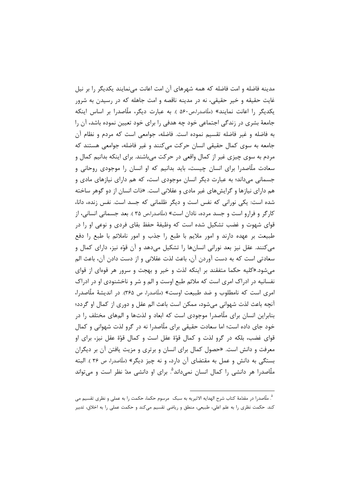مدینه فاضله و امت فاضله که همه شهرهای آن امت اعانت مینمایند یکدیگر را بر نیل غايت حقيقه و خير حقيقي، نه در مدينه ناقصه و امت جاهله كه در رسيدن به شرور یکدیگر را اعانت نمایند» (ملّاصدرا،ص۵۶۰ ). به عبارت دیگر، ملّاصدرا بر اساس اینکه جامعهٔ بشری در زندگی اجتماعی خود چه هدفی را برای خود تعیین نموده باشد، آن را به فاضله و غیر فاضله تقسیم نموده است. فاضله، جوامعی است که مردم و نظام آن جامعه به سوی کمال حقیقی انسان حرکت می کنند و غیر فاضله، جوامعی هستند که مردم به سوی چیزی غیر از کمال واقعی در حرکت میباشند. برای اینکه بدانیم کمال و سعادت ملّاصدرا برای انسان چیست، باید بدانیم که او انسان را موجودی روحانی و جسمانی میداند؛ به عبارت دیگر انسان موجودی است، که هم دارای نیازهای مادی و هم دارای نیازها و گرایشهای غیر مادی و عقلانی است. «ذات انسان از دو گوهر ساخته شده است: یکی نورانی که نفس است و دیگر ظلمانی که جسد است. نفس زنده، دانا، کارگر و فرارو است و جسد مرده، نادان است» (ملّاصدرا،ص ۳۵ ). بعد جسمانی انسانی، از قوای شهوت و غضب تشکیل شده است که وظیفهٔ حفظ بقای فردی و نوعی او را در طبیعت بر عهده دارند و امور ملایم با طبع را جذب و امور ناملائم با طبع را دفع می کنند. عقل نیز بعد نورانی انسانها را تشکیل میدهد و آن قوّه نیز، دارای کمال و سعادتی است که به دست آوردن آن، باعث لذت عقلانی و از دست دادن آن، باعث الم می شود.«کلیه حکما متفقند بر اینکه لذت و خیر و بهجت و سرور هر قوهای از قوای نفسانیه در ادراک امری است که ملائم طبع اوست و الم و شر و ناخشنودی او در ادراک امري است كه نامطلوب و ضد طبيعت اوست» (ملّاصدرا، ص ٣۶۵). در انديشهٔ ملّاصدرا، آنچه باعث لذت شهوانی می شود، ممکن است باعث الم عقل و دوری از کمال او گردد؛ بنابراین انسان برای ملّاصدرا موجودی است که ابعاد و لذتها و المهای مختلف را در خود جای داده است؛ اما سعادت حقیقی برای ملّاصدرا نه در گرو لذت شهوانی و کمال قواي غضب، بلكه در گرو لذت و كمال قوّة عقل است و كمال قوّة عقل نيز، براي او معرفت و دانش است. «حصول کمال برای انسان و برتری و مزیت یافتن آن بر دیگران بستگی به دانش و عمل به مقتضای آن دارد، و نه چیز دیگر» (ملّاصدرا، ص ۳۶). البته ملّاصدرا هر دانشی را کمال انسان نمیداند<sup>۵</sup>. برای او دانشی مدّ نظر است و می¤واند

<sup>&</sup>lt;sup>0</sup>. ملّاصدرا در مقدّمهٔ کتاب شرح الهدایه الاثیریه به سبک مرسوم حکما، حکمت را به عملی و نظری تقسیم می کند. حکمت نظری را به علم اعلی، طبیعی، منطق و ریاضی تقسیم میکند و حکمت عملی را به اخلاق، تدبیر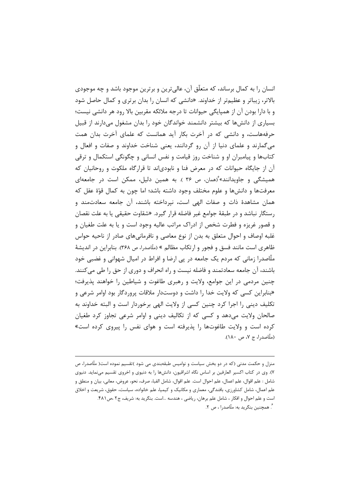انسان را به کمال برساند، که متعلّق آن، عالی ترین و برترین موجود باشد و چه موجودی بالاتر، زیباتر و عظیمتر از خداوند. «دانشی که انسان را بدان برتری و کمال حاصل شود و با دارا بودن آن از همپایگی حیوانات تا درجه ملائکه مقربین بالا رود هر دانشی نیست؛ بسیاری از دانشها که بیشتر دانشمند خواندگان خود را بدان مشغول میدارند از قبیل حرفههاست، و دانشی که در آخرت بکار آید همانست که علمای آخرت بدان همت می گمارند و علمای دنیا از آن رو گردانند، یعنی شناخت خداوند و صفات و افعال و کتابها و پیامبران او و شناخت روز قیامت و نفس انسانی و چگونگی استکمال و ترقی آن از جایگاه حیوانات که در معرض فنا و نابودیاند تا قرارگاه ملکوت و روحانیان که همیشگی و جاویدانند» ٔ(همان، ص ۳۶ ). به همین دلیل، ممکن است در جامعهای معرفتها و دانشها و علوم مختلف وجود داشته باشد؛ اما چون به کمال قوّة عقل که همان مشاهدهٔ ذات و صفات الهی است، نیرداخته باشند، آن جامعه سعادتمند و رستگار نباشد و در طبقهٔ جوامع غیر فاضله قرار گیرد. «شقاوت حقیقی یا به علت نقصان و قصور غریزه و فطرت شخص از ادراک مراتب عالیه وجود است و یا به علت طغیان و غلبه اوصاف و احوال متعلق به بدن از نوع معاصی و نافرمانیهای صادر از ناحیه حواس ظاهري است مانند فسق و فجور و ارتكاب مظالم » (ملّاصدرا، ص ٣۶۸). بنابراين در انديشهٔ ملَّاصدراً زمانی که مردم یک جامعه در پی ارضا و افراط در امیال شهوانی و غضبی خود باشند، آن جامعه سعادتمند و فاضله نیست و راه انحراف و دوری از حق را طی میکنند. چنین مردمی در این جوامع، ولایت و رهبری طاغوت و شیاطین را خواهند پذیرفت؛ «بنابراین کسی که ولایت خدا را داشت و دوستدار ملاقات پروردگار بود اوامر شرعی و تكليف ديني را اجرا كرد چنين كسي از ولايت الهي برخوردار است و البته خداوند به صالحان ولایت میدهد و کسی که از تکالیف دینی و اوامر شرعی تجاوز کرد طغیان کرده است و ولایت طاغوتها را پذیرفته است و هوای نفس را پیروی کرده است» (ملّاصدرا، ج ۷، ص ۱۸۰).

منزل و حکمت مدنی (که در دو بخش سیاست و نوامیس طبقهبندی می شود )تقسیم نموده است( ملّاصدرا، ص ٧). وي در كتاب اكسير العارفين بر اساس نگاه اشراقيون، دانشها را به دنيوي و اخروي تقسيم مي نمايد. دنيوي شامل : علم اقوال، علم اعمال، علم احوال است. علم اقوال، شامل الفبا، صرف، نحو، عروض، معاني، بيان و منطق و علم اعمال، شامل کشاورزی، بافندگی، معماری و مکانیک و کیمیا، علم خانواده، سیاست، حقوق، شریعت و اخلاق است و علم احوال و افكار ، شامل علم برهان، رياضي ، هندسه ...است. بنگريد به: شريف، ج٢ ،ص ۴٨١. گ همچنین بنگرید به: ملّاصدرا ، ص ۲.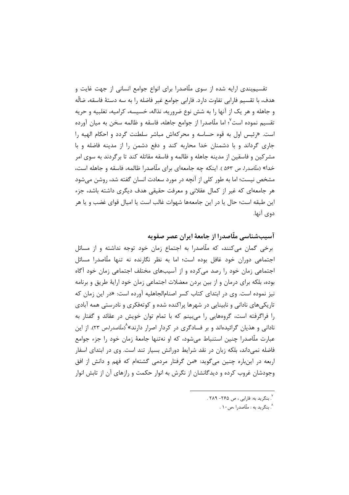تقسیم:ندی ارایه شده از سوی ملّاصدرا برای انواع جوامع انسانی از جهت غایت و هدف، با تقسیم فارابی تفاوت دارد. فارابی جوامع غیر فاضله را به سه دستهٔ فاسقه، ضالّه و جاهله و هر یک از آنها را به شش نوع ضروریه، نذاله، خسیسه، کرامیه، تغلبیه و حریه تقسیم نموده است<sup>۷</sup>؛ اما ملّاصدرا از جوامع جاهله، فاسقه و ظالمه سخن به میان آورده است. «رئيس اول به قوه حساسه و محركهاش مباشر سلطنت گردد و احكام الهيه را جاری گرداند و با دشمنان خدا محاربه کند و دفع دشمن را از مدینه فاضله و با مشرکین و فاسقین از مدینه جاهله و ظالمه و فاسقه مقاتله کند تا برگردند به سوی امر خدا» (ملّاصدرا، ص ۵۶۳ ). اینکه چه جامعهای برای ملّاصدرا ظالمه، فاسقه و جاهله است، مشخص نیست؛ اما به طور کلی از آنچه در مورد سعادت انسان گفته شد، روشن می شود هر جامعهای که غیر از کمال عقلانی و معرفت حقیقی هدف دیگری داشته باشد، جزء این طبقه است؛ حال یا در این جامعهها شهوات غالب است یا امیال قوای غضب و یا هر دوي آنها.

آسیبشناسی ملّاصدرا از جامعهٔ ایران عصر صفویه

برخی گمان می کنند، که ملّاصدرا به اجتماع زمان خود توجه نداشته و از مسائل اجتماعی دوران خود غافل بوده است؛ اما به نظر نگارنده نه تنها ملّاصدرا مسائل اجتماعی زمان خود را رصد میکرده و از آسیبهای مختلف اجتماعی زمان خود آگاه بوده، بلکه برای درمان و از بین بردن معضلات اجتماعی زمان خود ارایهٔ طریق و برنامه نیز نموده است. وی در ابتدای کتاب کسر اصنام|لجاهلیه آورده است: «در این زمان که تاریکیهای نادانی و نابینایی در شهرها پراکنده شده و کوتهفکری و نادرستی همه آبادی را فراگرفته است، گروههایی را می بینم که با تمام توان خویش در عقائد و گفتار به نادانی و هذیان گرائیدهاند و بر فسادگری در کردار اصرار دارند»^(ملّاصدرا،ص ۲۳). از این عبارت ملّاصدرا چنین استنباط می شود، که او نهتنها جامعهٔ زمان خود را جزء جوامع فاضله نمی،داند، بلکه زبان در نقد شرایط دورانش بسیار تند است. وی در ابتدای اسفار اربعه در اینباره چنین می گوید: «من گرفتار مردمی گشتهام که فهم و دانش از افق وجودشان غروب کرده و دیدگانشان از نگرش به انوار حکمت و رازهای آن از تابش انوار

- <sup>۷</sup>. بنگريد به: فارابي ، ص ۲۶۵– ۲۸۹ .
	- ^. بنگريد به : ملّاصدرا ،ص ١٠ .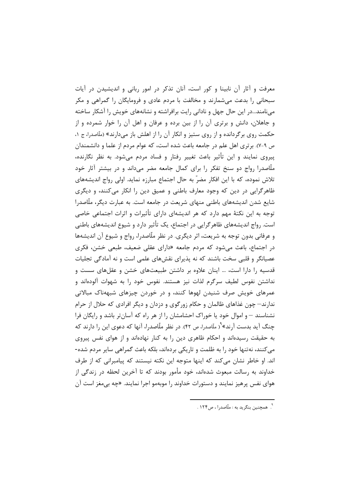معرفت و آثار آن نابینا و کور است، آنان تذکر در امور ربانی و اندیشیدن در آیات سبحانی را بدعت میشمارند و مخالفت با مردم عادی و فرومایگان را گمراهی و مکر مینامند...در این حال جهل و نادانی رایت برافراشته و نشانههای خویش را آشکار ساخته و جاهلان، دانش و برتری آن را از بین برده و عرفان و اهل آن را خوار شمرده و از حکمت روی برگردانده و از روی ستیز و انکار آن را از اهلش باز میدارند» (ملّاصدرا، ج ۱، ص ٩-٧). برتري اهل علم در جامعه باعث شده است، كه عوام مردم از علما و دانشمندان پیروی نمایند و این تأثیر باعث تغییر رفتار و فساد مردم میشود. به نظر نگارنده، ملّاصدرا رواج دو سنخ تفکر را برای کمال جامعه مضر میداند و در بیشتر آثار خود تلاش نموده، که با این افکار مضرّ به حال اجتماع مبارزه نماید. اولی رواج اندیشههای ظاهرگرایی در دین که وجود معارف باطنی و عمیق دین را انکار میکنند، و دیگری شایع شدن اندیشههای باطنی منهای شریعت در جامعه است. به عبارت دیگر، ملّاصدرا توجه به این نکتهٔ مهم دارد که هر اندیشهای دارای تأثیرات و اثرات اجتماعی خاصی است. رواج اندیشههای ظاهرگرایی در اجتماع، یک تأثیر دارد و شیوع اندیشههای باطنی و عرفانی بدون توجه به شریعت، اثر دیگری. در نظر ملّاصدرا، رواج و شیوع آن اندیشهها در اجتماع، باعث می شود که مردم جامعه «دارای عقلی ضعیف، طبعی خشن، فکری عصیانگر و قلبی سخت باشند که نه پذیرای نقشهای علمی است و نه آمادگی تجلیات قدسیه را دارا است، … اینان علاوه بر داشتن طبیعتهای خشن و عقلهای سست و نداشتن نفوس لطيف سرگرم لذات نيز هستند. نفوس خود را به شهوات آلودهاند و عمرهای خویش صرف شنیدن لهوها کنند، و در خوردن چیزهای شبههناک مبالاتی ندارند— چون غذاهای ظالمان و حکام زورگوی و دزدان و دیگر افرادی که حلال از حرام نشناسند – و اموال خود یا خوراک احشامشان را از هر راه که آسانتر باشد و رایگان فرا چنگ آید بدست آرند»<sup>۹</sup>( ملّاصدرا، ص ۴۲). در نظر ملّاصدرا، آنها که دعوی این را دارند که به حقیقت رسیدهاند و احکام ظاهری دین را به کنار نهادهاند و از هوای نفس پیروی می کنند، نه تنها خود را به ظلمت و تاریکی بردهاند، بلکه باعث گمراهی سایر مردم شده-اند. او خاطر نشان می کند که اینها متوجه این نکته نیستند که پیامبرانی که از طرف خداوند به رسالت مبعوث شدهاند، خود مأمور بودند که تا آخرین لحظه در زندگی از هوای نفس پرهیز نمایند و دستورات خداوند را موبهمو اجرا نمایند. «چه بی مغز است آن

۹.<br>۹. همچنین بنگرید به : ملّاصدرا ، ص۱۲۴ .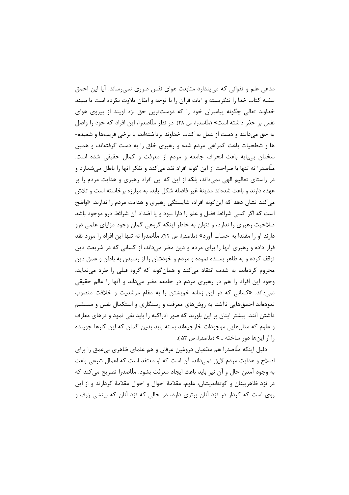مدعی علم و تقوائی که میپندارد متابعت هوای نفس ضرری نمیرساند. آیا این احمق سفیه کتاب خدا را ننگریسته و آیات قرآن را با توجه و ایقان تلاوت نکرده است تا ببیند خداوند تعالی چگونه پیامبران خود را که دوستترین حق نزد اویند از پیروی هوای نفس بر حذر داشته است» (ملّاصدرا، ص ۲۸). در نظر ملّاصدرا، این افراد که خود را واصل به حق میدانند و دست از عمل به کتاب خداوند برداشتهاند، با برخی فریبها و شعبده-ها و شطحیات باعث گمراهی مردم شده و رهبری خلق را به دست گرفتهاند، و همین سخنان بي پايه باعث انحراف جامعه و مردم از معرفت و كمال حقيقي شده است. ملَّاصدرا نه تنها با صراحت از این گونه افراد نقد میکند و تفکر آنها را باطل میشمارد و در راستای تعالیم الهی نمیداند، بلکه از این که این افراد رهبری و هدایت مردم را بر عهده دارند و باعث شدهاند مدینهٔ غیر فاضله شکل یابد، به مبارزه برخاسته است و تلاش می کند نشان دهد که این *گ*ونه افراد، شایستگی رهبری و هدایت مردم را ندارند. «واضح است که اگر کسی شرائط فضل و علم را دارا نبود و یا اضداد آن شرائط درو موجود باشد صلاحیت رهبری را ندارد، و نتوان به خاطر اینکه گروهی گمان وجود مزایای علمی درو دارند او را مقتدا به حساب آورد» (ملّاصدرا، ص ۴۲). ملّاصدرا نه تنها این افراد را مورد نقد قرار داده و رهبری آنها را برای مردم و دین مضر میداند، از کسانی که در شریعت دین توقف کرده و به ظاهر بسنده نموده و مردم و خودشان را از رسیدن به باطن و عمق دین محروم کردهاند، به شدت انتقاد میکند و همانگونه که گروه قبلی را طرد می نماید، وجود این افراد را هم در رهبری مردم در جامعه مضر میداند و آنها را عالم حقیقی نمی داند. «کسانی که در این زمانه خویشتن را به مقام مرشدیت و خلافت منصوب نمودهاند احمقهایی ناآشنا به روشهای معرفت و رستگاری و استکمال نفس و مستقیم داشتن آنند. بیشتر اینان بر این باورند که صور ادراکیه را باید نفی نمود و درهای معارف و علوم که مثالهایی موجودات خارجیهاند بسته باید بدین گمان که این کارها جوینده , ا از این ها دور ساخته ...» (ملّاصدرا، ص ۵۳).

دلیل اینکه ملّاصدرا هم مدّعیان دروغین عرفان و هم علمای ظاهری بیءمق را برای اصلاح و هدایت مردم لایق نمی داند، آن است که او معتقد است که اعمال شرعی باعث به وجود آمدن حال و آن نیز باید باعث ایجاد معرفت بشود. ملّاصدرا تصریح می کند که در نزد ظاهربینان و کوتهاندیشان، علوم، مقدّمهٔ احوال و احوال مقدّمهٔ کردارند و از این روی است که کردار در نزد آنان برتری دارد، در حالی که نزد آنان که بینشی ژرف و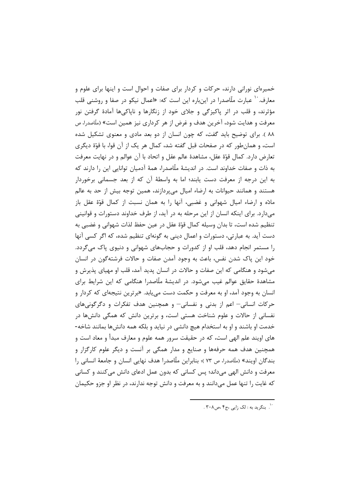خمیرهای نورانی دارند، حرکات و کردار برای صفات و احوال است و اینها برای علوم و معارف. `` عبارت ملّاصدرا در اینباره این است که: «اعمال نیکو در صفا و روشنی قلب مؤثرند، و قلب در اثر پاکیزگی و جلای خود از زنگارها و ناپاکیها آمادهٔ گرفتن نور معرفت و هدایت شود، آخرین هدف و غرض از هر کرداری نیز همین است» (ملّاصدرا، ص ۸۸ ). برای توضیح باید گفت، که چون انسان از دو بعد مادی و معنوی تشکیل شده است، و همان طور که در صفحات قبل گفته شد، کمال هر یک از آن قوا، با قوّهٔ دیگری تعارض دارد. كمال قوّة عقل، مشاهدة عالم عقل و اتحاد با آن عوالم و در نهايت معرفت به ذات و صفات خداوند است. در اندیشهٔ ملّاصدرا، همهٔ آدمیان توانایی این را دارند که به این درجه از معرفت دست یابند؛ اما به واسطهٔ آن که از بعد جسمانی برخوردار هستند و همانند حیوانات به ارضاء امیال میپردازند، همین توجه بیش از حد به عالم مادّه و ارضاء اميال شهواني و غضبي، آنها را به همان نسبت از كمال قوّة عقل باز میدارد. برای اینکه انسان از این مرحله به در آید، از طرف خداوند دستورات و قوانینی تنظيم شده است، تا بدان وسيله كمال قوّة عقل در عين حفظ لذات شهواني و غضبي به دست آید. به عبارتی، دستورات و اعمال دینی به گونهای تنظیم شده، که اگر کسی آنها را مستمر انجام دهد، قلب او از کدورات و حجابهای شهوانی و دنیوی پاک میگردد. خود این پاک شدن نفس، باعث به وجود آمدن صفات و حالات فرشتهگون در انسان میشود و هنگامی که این صفات و حالات در انسان پدید آمد، قلب او مهیای پذیرش و مشاهدهٔ حقایق عوالم غیب میشود. در اندیشهٔ ملّاصدرا هنگامی که این شرایط برای انسان به وجود آمد، او به معرفت و حکمت دست می یابد. «برترین نتیجهای که کردار و حرکات انسانی – اعم از بدنی و نفسانی – و همچنین هدف تفکرات و دگرگونیهای نفسانی از حالات و علوم شناخت هستی است، و برترین دانش که همگی دانشها در خدمت او باشند و او به استخدام هیچ دانشی در نیاید و بلکه همه دانشها بمانند شاخه-های اوپند علم الهی است، که در حقیقت سرور همه علوم و معارف مبدأ و معاد است و همچنین هدف همه حرفهها و صنایع و مدار همگی بر آنست و دیگر علوم کارگزار و بندگان اويند» (ملّاصدرا، ص ٧٣ )؛ بنابراين ملّاصدرا هدف نهايي انسان و جامعهٔ انساني را معرفت و دانش الهي مي داند؛ پس كساني كه بدون عمل ادعاى دانش مي كنند و كساني که غايت را تنها عمل مي دانند و به معرفت و دانش توجه ندارند، در نظر او جزو حکيمان

۰۰.<br>۰<sup>۰ (</sup>. بنگرید به : لک زایی ،ج۴ ،ص۳۰۸ .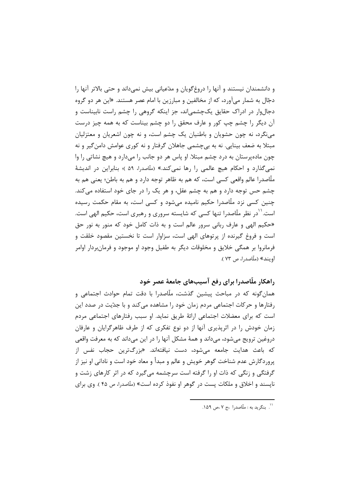و دانشمندان نیستند و آنها را دروغ گویان و مدّعیانی بیش نمیداند و حتی بالاتر آنها را دجّال به شمار میآورد، که از مخالفین و مبارزین با امام عصر هستند. «این هر دو گروه دجالوار در ادراک حقایق یکچشمیاند، جز اینکه گروهی را چشم راست نابیناست و آن دیگر را چشم چپ کور و عارف محقق را دو چشم بیناست که به همه چیز درست مینگرد، نه چون حشویان و باطنیان یک چشم است، و نه چون اشعریان و معتزلیان مبتلا به ضعف بینایی. نه به بی چشمی جاهلان گرفتار و نه کوری عوامش دامن گیر و نه چون مادهپرستان به درد چشم مبتلا. او پاس هر دو جانب را میدارد و هیچ نشاتی را وا نمیگذارد و احکام هیچ عالمی را رها نمیکند.» (ملّاصدرا، ۵۹ )؛ بنابراین در اندیشهٔ ملَّاصدرا عالم واقعي كسي است، كه هم به ظاهر توجه دارد و هم به باطن؛ يعني هم به چشم حس توجه دارد و هم به چشم عقل، و هر یک را در جای خود استفاده می کند. چنین کسی نزد ملّاصدرا حکیم نامیده می شود و کسی است، به مقام حکمت رسیده است.<sup>۱۱</sup>در نظر ملّاصدرا تنها کسی که شایسته سروری و رهبری است، حکیم الهی است. «حکیم الهی و عارف ربانی سرور عالم است و به ذات کامل خود که منور به نور حق است و فروغ گیرنده از پرتوهای الهی است، سزاوار است تا نخستین مقصود خلقت و فرمانروا بر همگی خلایق و مخلوقات دیگر به طفیل وجود او موجود و فرمانبردار اوامر اويند» (ملّاصد,ا، ص ٧٣ ).

راهکار ملّاصدرا برای رفع آسیبهای جامعهٔ عصر خود

همان گونه که در مباحث پیشین گذشت، ملّاصدرا با دقت تمام حوادث اجتماعی و رفتارها و حرکات اجتماعی مردم زمان خود را مشاهده میکند و با جدّیت در صدد این است که برای معضلات اجتماعی ارائهٔ طریق نماید. او سبب رفتارهای اجتماعی مردم زمان خودش را در اثریذیری آنها از دو نوع تفکری که از طرف ظاهرگرایان و عارفان دروغین ترویج میشود، میداند و همهٔ مشکل آنها را در این میداند که به معرفت واقعی که باعث هدایت جامعه می.شود، دست نیافتهاند. «بزرگترین حجاب نفس از پروردگارش عدم شناخت گوهر خویش و عالم و مبدأ و معاد خود است و نادانی او نیز از گرفتگی و زنگی که ذات او را گرفته است سرچشمه میگیرد که در اثر کارهای زشت و نایسند و اخلاق و ملکات پست در گوهر او نفوذ کرده است» (ملّاصدرا، ص ۴۵ ). وی برای

<sup>&#</sup>x27;'. بنگرید به : ملّاصدرا ،ج ۷،ص ۱۵۹.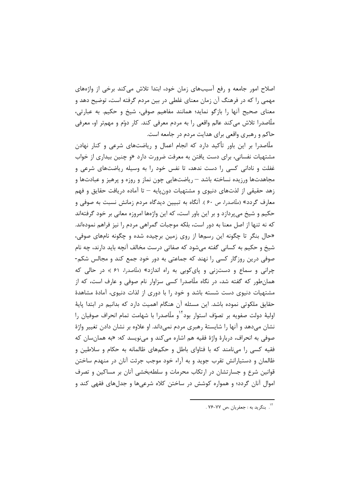اصلاح امور جامعه و رفع آسیبهای زمان خود، ابتدا تلاش می کند برخی از واژههای مهمی را که در فرهنگ آن زمان معنای غلطی در بین مردم گرفته است، توضیح دهد و معنای صحیح آنها را بازگو نماید؛ همانند مفاهیم صوفی، شیخ و حکیم. به عبارتی، ملّاصدرا تلاش میکند عالم واقعی را به مردم معرفی کند. کار دوّم و مهمتر او، معرفی حاکم و رهبری واقعی برای هدایت مردم در جامعه است.

ملّاصدرا بر این باور تأکید دارد که انجام اعمال و ریاضتهای شرعی و کنار نهادن مشتهیات نفسانی، برای دست یافتن به معرفت ضرورت دارد «و چنین بیداری از خواب غفلت و نادانی کسی را دست ندهد، تا نفس خود را به وسیله ریاضتهای شرعی و مجاهدتها ورزيده نساخته باشد – رياضتهايي چون نماز و روزه و پرهيز و عبادتها و زهد حقیقی از لذتهای دنیوی و مشتهیات دونِپایه — تا آماده دریافت حقایق و فهم معارف گردد» (ملّاصدرا، ص ۶۰). آنگاه به تبیین دیدگاه مردم زمانش نسبت به صوفی و حکیم و شیخ می پردازد و بر این باور است، که این واژهها امروزه معانی بر خود گرفتهاند كه نه تنها از اصل معنا به دور است، بلكه موجبات گمراهی مردم را نيز فراهم نمودهاند. «حال بنگر تا چگونه این رسمها از روی زمین برچیده شده و چگونه نامهای صوفی، شیخ و حکیم به کسانی گفته می شود که صفاتی درست مخالف آنچه باید دارند، چه نام صوفی درین روزگار کسی را نهند که جماعتی به دور خود جمع کند و مجالس شکم-چرانی و سماع و دستزنی و پای کوبی به راه اندازد» (ملّاصدرا، ۶۱)؛ در حالی که همانِ طور که گفته شد، در نگاه ملّاصدرا کسی سزاوار نام صوفی و عارف است، که از مشتهیات دنیوی دست شسته باشد و خود را با دوری از لذات دنیوی، آمادهٔ مشاهدهٔ حقایق ملکوتی نموده باشد. این مسئله آن هنگام اهمیت دارد که بدانیم در ابتدا پایهٔ اولیهٔ دولت صفویه بر تصوّف استوار بود<sup>۱۲</sup>و ملّاصدرا با شهامت تمام انحراف صوفیان را نشان میدهد و آنها را شایستهٔ رهبری مردم نمیداند. او علاوه بر نشان دادن تغییر واژهٔ صوفي به انحراف، دربارهٔ واژهٔ فقیه هم اشاره مي *ک*ند و ميiويسد که: «به همانسان که فقیه کسی را مینامند که با فتاوای باطل و حکمهای ظالمانه به حکام و سلاطین و ظالمان و دستیارانش تقرب جوید و به آراء خود موجب جرئت آنان در منهدم ساختن قوانین شرع و جسارتشان در ارتکاب محرمات و سلطهبخشی آنان بر مساکین و تصرف اموال آنان گردد؛ و همواره کوشش در ساختن کلاه شرعیها و جدلهای فقهی کند و

۰۰<br>۱<sup>۲</sup>. بنگرید به : جعفریان ،ص ۷۷-۷۶.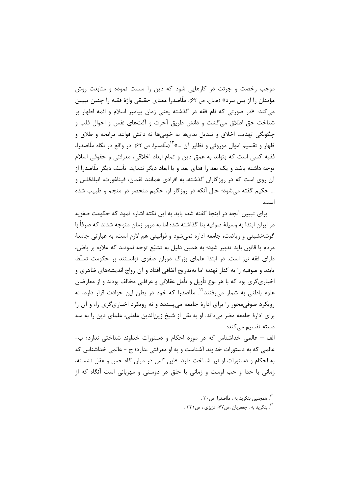موجب رخصت و جرئت در کارهایی شود که دین را سست نموده و متابعت روش مؤمنان را از بین ببرد» (همان، ص ۶۲). ملّاصدرا معنای حقیقی واژهٔ فقیه را چنین تبیین میکند: «در صورتی که نام فقه در گذشته یعنی زمان پیامبر اسلام و ائمه اطهار بر شناخت حق اطلاق میگشت و دانش طریق آخرت و آفتهای نفس و احوال قلب و چگونگی تهذیب اخلاق و تبدیل بدیها به خوبیها نه دانش قواعد مرابحه و طلاق و ظهار و تقسیم اموال موروثی و نظایر آن …»<sup>۱۳</sup>(ملّاصدرا، ص ۶۲). در واقع در نگاه ملّاصدرا، فقيه كسي است كه بتواند به عمق دين و تمام ابعاد اخلاقي، معرفتي و حقوقي اسلام توجه داشته باشد و یک بعد را فدای بعد و یا ابعاد دیگر ننماید. تأسف دیگر ملّاصدرا از آن روی است که در روزگاران گذشته، به افرادی همانند لقمان، فیثاغورث، انباذقلس و ... حکیم گفته می شود؛ حال آنکه در روزگار او، حکیم منحصر در منجم و طبیب شده است.

برای تبیین آنچه در اینجا گفته شد، باید به این نکته اشاره نمود که حکومت صفویه در ايران ابتدا به وسيلهٔ صوفيه بنا گذاشته شد؛ اما به مرور زمان متوجه شدند که صرفاً با گوشهنشینی و ریاضت، جامعه اداره نمی شود و قوانینی هم لازم است؛ به عبارتی جامعهٔ مردم با قانون بايد تدبير شود؛ به همين دليل به تشيّع توجه نمودند كه علاوه بر باطن، دارای فقه نیز است. در ابتدا علمای بزرگ دوران صفوی توانستند بر حکومت تسلّط یابند و صوفیه را به کنار نهند؛ اما بهتدریج اتفاقی افتاد و آن رواج اندیشههای ظاهری و اخباري¢ري بود كه با هر نوع تأويل و تأمل عقلاني و عرفاني مخالف بودند و از معارضان علوم باطنی به شمار می,رفتند<sup>۱۴</sup>. ملّاصدرا که خود در بطن این حوادث قرار دارد، نه رویکرد صوفی محور را برای ادارهٔ جامعه می پسندد و نه رویکرد اخباری گری را، و آن را برای ادارهٔ جامعه مضر میداند. او به نقل از شیخ زین|لدین عاملی، علمای دین را به سه دسته تقسیم مے کند:

الف – عالمي خداشناس كه در مورد احكام و دستورات خداوند شناختي ندارد؛ ب-عالمي كه به دستورات خداوند آشناست و به او معرفتي ندارد؛ ج - عالمي خداشناس كه به احکام و دستورات او نیز شناخت دارد. «این کس در میان گاه حس و عقل نشسته، زمانی با خدا و حب اوست و زمانی با خلق در دوستی و مهربانی است آنگاه که از

۱۳.<br>۱۳. همچنین بنگ بد به : ملّاصد.ا ،ص ۳۰.

۱۴ . بنگريد به : جعفريان ،ص۷۷؛ عزيزي ، ص۳۳۱ .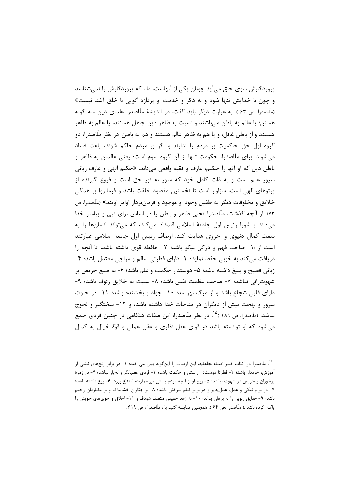پروردگارش سوی خلق میآید چونان یکی از آنهاست، مانا که پروردگارش را نمیشناسد و چون با خدایش تنها شود و به ذکر و خدمت او پردازد گویی با خلق آشنا نیست» (ملّاصدرا، ص ۶۳ ). به عبارت دیگر باید گفت، در اندیشهٔ ملّاصدرا علمای دین سه گونه هستن؛ یا عالم به باطن میباشند و نسبت به ظاهر دین جاهل هستند، یا عالم به ظاهر هستند و از باطن غافل، و یا هم به ظاهر عالم هستند و هم به باطن. در نظر ملّاصدرا، دو گروه اول حق حاکمیت بر مردم را ندارند و اگر بر مردم حاکم شوند، باعث فساد میشوند. برای ملّاصدرا، حکومت تنها از آن گروه سوم است؛ یعنی عالمان به ظاهر و باطن دین که او آنها را حکیم، عارف و فقیه واقعی میداند. «حکیم الهی و عارف ربانی سرور عالم است و به ذات کامل خود که منور به نور حق است و فروغ گیرنده از پرتوهای الهی است، سزاوار است تا نخستین مقصود خلقت باشد و فرمانروا بر همگی خلايق و مخلوقات ديگر به طفيل وجود او موجود و فرمانبردار اوامر اويند» (مآاصدرا، ص ۷۳). از آنچه گذشت، ملّاصدرا تجلّی ظاهر و باطن را در اساس برای نبی و پیامبر خدا میداند و شورا رئیس اول جامعهٔ اسلامی قلمداد میکند، که میتواند انسانها را به سمت کمال دنیوی و اخروی هدایت کند. اوصاف رئیس اول جامعه اسلامی عبارتند است از ١٠- صاحب فهم و دركي نيكو باشد؛ ٢- حافظة قوى داشته باشد، تا آنچه را دریافت میکند به خوبی حفظ نماید؛ ۳- دارای فطرتی سالم و مزاجی معتدل باشد؛ ۴-زبانی فصیح و بلیغ داشته باشد؛ ۵- دوستدار حکمت و علم باشد؛ ۶- به طبع حریص بر شهوت رانی نباشد؛ ٧- صاحب عظمت نفس باشد؛ ٨- نسبت به خلایق رئوف باشد؛ ٩-دارای قلبی شجاع باشد و از مرگ نهراسد؛ ۱۰- جواد و بخشنده باشد؛ ۱۱- در خلوت سرور و بهجت بیش از دیگران در مناجات خدا داشته باشد، و ۱۲- سختگیر و لجوج نباشد. (ملّاصدرا، ص ۲۸۹ )<sup>۱۵</sup>. در نظر ملّاصدرا، این صفات هنگامی در چنین فردی جمع می شود که او توانسته باشد در قوای عقل نظری و عقل عملی و قوّة خیال به کمال

۱۵ ملّاصدرا در کتاب کسر اصنامالجاهلیه، این اوصاف را اینگونه بیان می کند: ۱- در برابر رنجهای ناشی از آموزش، خوددار باشد؛ ٢- فطرتا دوستدار راستي و حكمت باشد؛ ٣- فردي عصيانگر و لجباز نباشد؛ ۴- در زمرهٔ پرخوران و حریص در شهوت نباشد؛ ۵- روح او از آنچه مردم پستی میشمارند، امتناع ورزد؛ ۶- ورع داشته باشد؛ ۷- در برابر نیکی و عدل، عدل پذیر و در برابر ظلم سرکش باشد؛ ۸- بر جبّاران خشمناک و بر مظلومان رحیم باشد؛ ۹- حقایق ربوبی را به برهان بداند؛ ۱۰- به زهد حقیقی متصف شودف و ۱۱- اخلاق و خویهای خویش را پاک کرده باشد .( ملّاصدرا ،ص ۶۴ ). همچنین مقایسه کنید با : ملّاصدرا ، ص ۶۱۹ .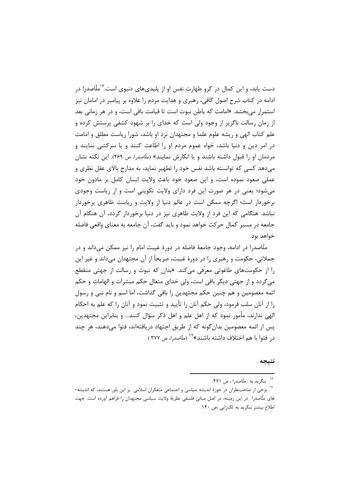دست یابد، و این کمال در گرو طهارت نفس او از پلیدیهای دنیوی است.<sup>۱۶</sup>ملّاصدرا در ادامه در کتاب شرح اصول کافی، رهبری و هدایت مردم را علاوه بر پیامبر در امامان نیز استمرار میبخشد. «امامت که باطن نبوت است تا قیامت باقی است، و در هر زمانی بعد از زمان رسالت ناگزیر از وجود ولی است که خدای را بر شهود کشفی پرستش کرده و علم کتاب الهی و ریشه علوم علما و مجتهدان نزد او باشد، شورا ریاست مطلق و امامت در امر دین و دنیا باشد، خواه عموم مردم او را اطاعت کنند و یا سرکشی نمایند و مردمان او را قبول داشته باشند و یا انکارش نمایند» (ملّاصدرا، ص ۴۶۹). این نکته نشان میدهد کسی که توانسته باشد نفس خود را تطهیر نماید، به مدارج بالای عقل نظری و عملی صعود نموده است، و این صعود خود باعث ولایت انسان کامل بر مادون خود می شود؛ یعنی در هر صورت این فرد دارای ولایت تکوینی است و از ریاست وجودی برخوردار است؛ اگرچه ممکن است در عالم دنیا از ولایت و ریاست ظاهری برخوردار نباشد. هنگامی که این فرد از ولایت ظاهری نیز در دنیا برخوردار گردد، آن هنگام آن جامعه در مسیر کمال حرکت خواهد نمود و باید گفت، آن جامعه به معنای واقعی فاضله خواهد بود.

ملَّاصدرا در ادامه، وجود جامعهٔ فاضله در دورهٔ غیبت امام را نیز ممکن می۵اند و در جملاتی، حکومت و رهبری را در دورهٔ غیبت، صریحاً از آن مجتهدان میداند و غیر این را از حکومتهای طاغوتی معرّفی میکند. «بدان که نبوت و رسالت از جهتی منقطع می گردد و از جهتی دیگر باقی است، ولی خدای متعال حکم مبشرات و الهامات و حکم ائمه معصومین و هم چنین حکم مجتهدین را باقی گذاشت، اما اسم و نام نبی و رسول را از آنان سلب فرمود، ولي حكم آنان را تأييد و تثبيت نمود و آنان را كه علم به احكام الهي ندارند، مأمور نمود كه از اهل علم و اهل ذكر سؤال كنند... و بنابراين مجتهدين، يس از ائمه معصومين بدان گونه كه از طريق اجتهاد دريافتهاند، فتوا مي دهند، هر چند د, فتوا با هم اختلاف داشته باشند»<sup>۱۷</sup> (ملّاصد,ا، ص ۳۷۷ )

#### نتيجه

۱۶. بنگرید به : ملّاصدرا ، ص ۴۷۱.

۰۰<br><sup>۱۷</sup>. برخی از صاحبنظران در حوزهٔ اندیشه سیاسی و اجتماعی متفکران اسلامی بر این باور هستند، که اندیشه-های ملّاصدرا ً در این زمینه، در اصل مبانی فلسفی نظریهٔ ولایت سیاسی مجتهدان را فراهم آورده است. جهت اطلاع بیشتر بنگرید به: لکزایی ،ص ۱۴۰.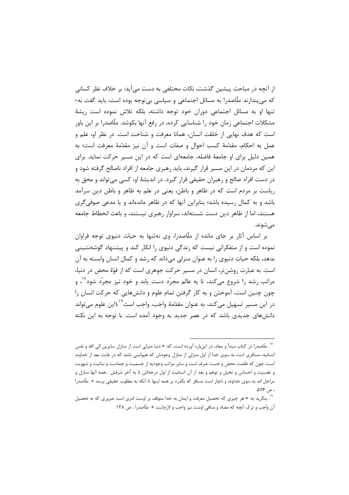از آنچه در مباحث پیشین گذشت، نکات مختلفی به دست می آید: بر خلاف نظر کسانی که میپندارند ملّاصدرا به مسائل اجتماعی و سیاسی بیتوجه بوده است، باید گفت نه-تنها او به مسائل اجتماعی دوران خود توجه داشته، بلکه تلاش نموده است ریشهٔ مشکلات اجتماعی زمان خود را شناسایی کرده، در رفع آنها بکوشد. ملّاصدرا بر این باور است که هدف نهایی از خلقت انسان، همانا معرفت و شناخت است. در نظر او، علم و عمل به احکام، مقدَّمهٔ کسب احوال و صفات است و آن نیز مقدَّمهٔ معرفت است؛ به همین دلیل برای او جامعهٔ فاضله، جامعهای است که در این مسیر حرکت نماید. برای این که مردمان در این مسیر قرار گیرند، باید رهبری جامعه از افراد ناصالح گرفته شود و در دست افراد صالح و رهبران حقیقی قرار گیرد. در اندیشهٔ او، کسی میتواند و محق به ریاست بر مردم است که در ظاهر و باطن، یعنی در علم به ظاهر و باطن دین سرآمد باشد و به کمال رسیده باشد؛ بنابراین آنها که در ظاهر ماندهاند و یا مدعی صوفیگری هستند، اما از ظاهر دین دست شستهاند، سزاوار رهبری نیستند، و باعث انحطاط جامعه مے شوند.

بر اساس آثار بر جای مانده از ملّاصدرا، وی نهتنها به حیات دنیوی توجه فراوان نموده است و از متفکرانی نیست که زندگی دنیوی را انکار کند و پیشنهاد گوشهنشینی بدهد، بلکه حیات دنیوی را به عنوان منزلی میداند که رشد و کمال انسان وابسته به آن است. به عبارت روشن تر، انسان در مسیر حرکت جوهری است که از قوّهٔ محض در دنیا، مراتب رشد را شروع می *ک*ند، تا به عالم مجرّد دست یابد و خود نیز مجرّد شود<sup>۱۸</sup>، و چون چنین است، آموختن و به کار گرفتن تمام علوم و دانش هایی که حرکت انسان را در این مسیر تسهیل می کند، به عنوان مقدّمهٔ واجب، واجب است<sup>۱٬</sup>۰(این علوم می تواند دانش های جدیدی باشد که در عصر جدید به وجود آمده است. با توجه به این نکته

<sup>&</sup>lt;sup>۱۸</sup>. ملّاصدرا در کتاب مبدأ و معاد، در اینباره آورده است، که: « دنیا منزلی است از منازل سایرین الی الله و نفس انسانیه، مسافری است به سوی خدا از اول منزلی از منازل وجودش که هیولیتی باشد که در غایت بعد از خداوند است، چون که ظلمت محض و خست صرف است و سایر مراتب وجودیه از جسمیت و جمادیت و نباتیت و شهویت و غضبیت و احساس و تخیل و توهم و بعد از آن انسانیت از اول درجهاش تا به آخر شرفش …همه آنها منازل و مراحل اند به سوی خداوند و ناچار است مسافر که بگذرد بر همه اینها تا آنکه به مطلوب حقیقی برسد » ملّاصدرا ، ص ۵۷۶.

<sup>&</sup>lt;sup>۱۹</sup>. بنگرید به: « هر چیزی که تحصیل معرفت و ایمان به خدا متوقف بر اوست امری است ضروری که به تحصیل آن واجب و ترک آنچه که مضاد و منافی اوست نیز واجب و لازماست » ملّاصدرا ، ص ۱۲۸.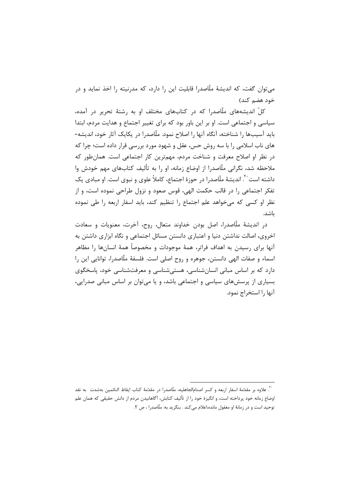مي توان گفت، كه انديشهٔ ملّاصدرا قابليت اين را دارد، كه مدرنيته را اخذ نمايد و در خود هضم کند)

کلّ اندیشههای ملّاصدرا که در کتابهای مختلف او به رشتهٔ تحریر در آمده، سیاسی و اجتماعی است. او بر این باور بود که برای تغییر اجتماع و هدایت مردم، ابتدا بايد آسيبها را شناخته، آنگاه آنها را اصلاح نمود. ملّاصدرا در يكايک آثار خود، انديشه-های ناب اسلامی را با سه روش حس، عقل و شهود مورد بررسی قرار داده است؛ چرا که در نظر او اصلاح معرفت و شناخت مردم، مهمترین کار اجتماعی است. همان طور که ملاحظه شد، نگرانی ملّاصدرا از اوضاع زمانه، او را به تألیف کتابهای مهم خودش وا داشته است َ ، اندیشهٔ ملّاصدرا در حوزهٔ اجتماع، کاملاً علوی و نبوی است. او مبادی یک تفكر اجتماعي را در قالب حكمت الهي، قوس صعود و نزول طراحي نموده است، و از نظر او کسی که می خواهد علم اجتماع را تنظیم کند، باید اسفار اربعه را طی نموده ىاشد.

در اندیشهٔ ملّاصدرا، اصل بودن خداوند متعال، روح، آخرت، معنویات و سعادت اخروی، اصالت نداشتن دنیا و اعتباری دانستن مسائل اجتماعی و نگاه ابزاری داشتن به آنها برای رسیدن به اهداف فراتر، همهٔ موجودات و مخصوصاً همهٔ انسانها را مظاهر اسماء و صفات الهي دانستن، جوهره و روح اصلي است. فلسفهٔ ملّاصدرا، توانايي اين را دارد که بر اساس مبانی انسانشناسی، هستی شناسی و معرفتشناسی خود، پاسخگوی بسیاری از پرسشهای سیاسی و اجتماعی باشد، و یا میتوان بر اساس مبانی صدرایی، آنها ,ا استخراج نمود.

<sup>. .&</sup>lt;br>``. علاوه بر مقدّمهٔ اسفار اربعه و کسر اصنام|لحاهلیه، ملّاصدرا در مقدّمهٔ کتاب ایقاظ النائمین بهشدت به نقد اوضاع زمانه خود پرداخته است، و انگیزهٔ خود را از تألیف کتابش، آگاهانیدن مردم از دانش حقیقی که همان علم توحيد است و در زمانهٔ او مغفول مانده،اعلام مي كند . بنگريد به: ملّاصدرا ، ص ٢.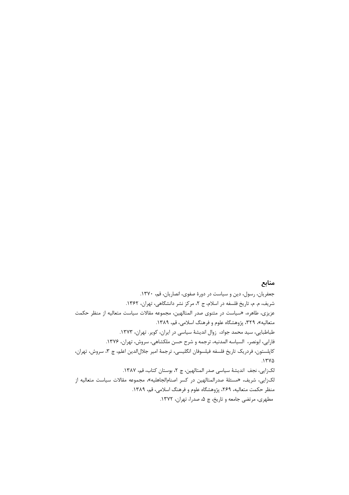### منابع

جعفریان، رسول، دین و سیاست در دورهٔ صفوی، انصاریان، قم، ١٣٧٠. شريف، م. م، تاريخ فلسفه در اسلام، ج ٢، مركز نشر دانشگاهي، تهران، ١٣۶٢. عزیزی، طاهره، «سیاست در مثنوی صدر المتالهین، مجموعه مقالات سیاست متعالیه از منظر حکمت متعالیه»، ۳۲۹، پژوهشگاه علوم و فرهنگ اسلامی، قم، ۱۳۸۹. طباطبایی، سید محمد جواد، زوال اندیشهٔ سیاسی در ایران، کویر. تهران، ۱۳۷۳. فارابي، ابونصر، السياسه المدنيه، ترجمه و شرح حسن ملكشاهي، سروش، تهران، ١٣٧۶. كاپلستون، فردريك تاريخ فلسفه فيلسوفان انگليسي، ترجمهٔ امير جلالالدين اعلم، چ ٣، سروش، تهران،  $.1740$ لكزايي، نجف انديشة سياسي صدر المتالهين، چ ٢، بوستان كتاب، قم، ١٣٨٧. لکزایی، شریف، «مسئلهٔ صدرالمتالهین در کسر اصنامالجاهلیه»، مجموعه مقالات سیاست متعالیه از منظر حکمت متعالیه، ۲۶۹، پژوهشگاه علوم و فرهنگ اسلامی، قم، ۱۳۸۹. مطهري، مرتضى جامعه و تاريخ، چ ۵، صدرا، تهران، ١٣٧٢.